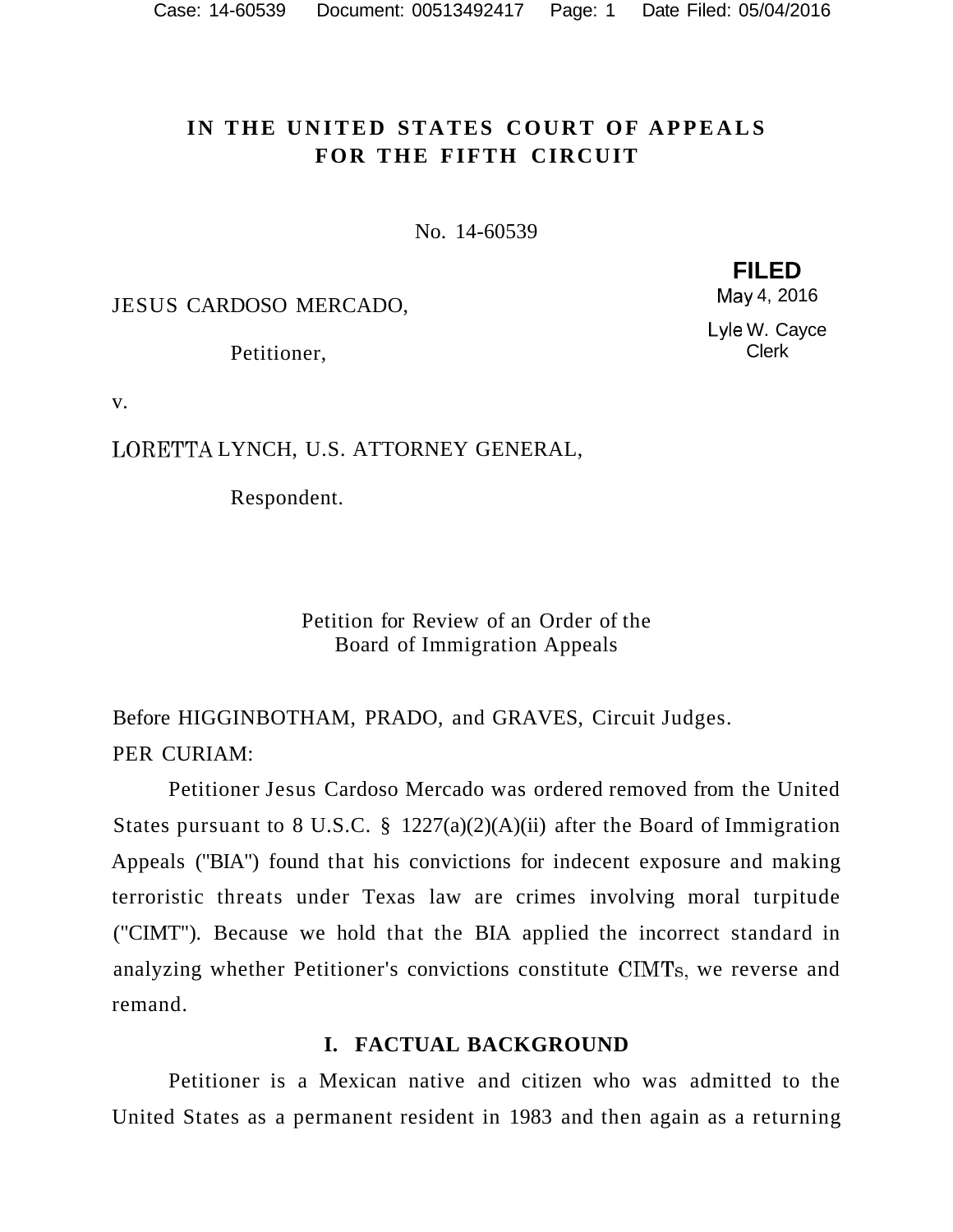# IN THE UNITED STATES COURT OF APPEALS **FOR THE FIFTH CIRCUIT**

No. 14-60539

JESUS CARDOSO MERCADO,

Petitioner,

**FILED**  May 4, 2016

Lyle W. Cayce Clerk

v.

LORETTA LYNCH, U.S. ATTORNEY GENERAL,

Respondent.

Petition for Review of an Order of the Board of Immigration Appeals

Before HIGGINBOTHAM, PRADO, and GRAVES, Circuit Judges. PER CURIAM:

Petitioner Jesus Cardoso Mercado was ordered removed from the United States pursuant to 8 U.S.C. § 1227(a)(2)(A)(ii) after the Board of Immigration Appeals ("BIA") found that his convictions for indecent exposure and making terroristic threats under Texas law are crimes involving moral turpitude ("CIMT"). Because we hold that the BIA applied the incorrect standard in analyzing whether Petitioner's convictions constitute CIMTs, we reverse and remand.

## **I. FACTUAL BACKGROUND**

Petitioner is a Mexican native and citizen who was admitted to the United States as a permanent resident in 1983 and then again as a returning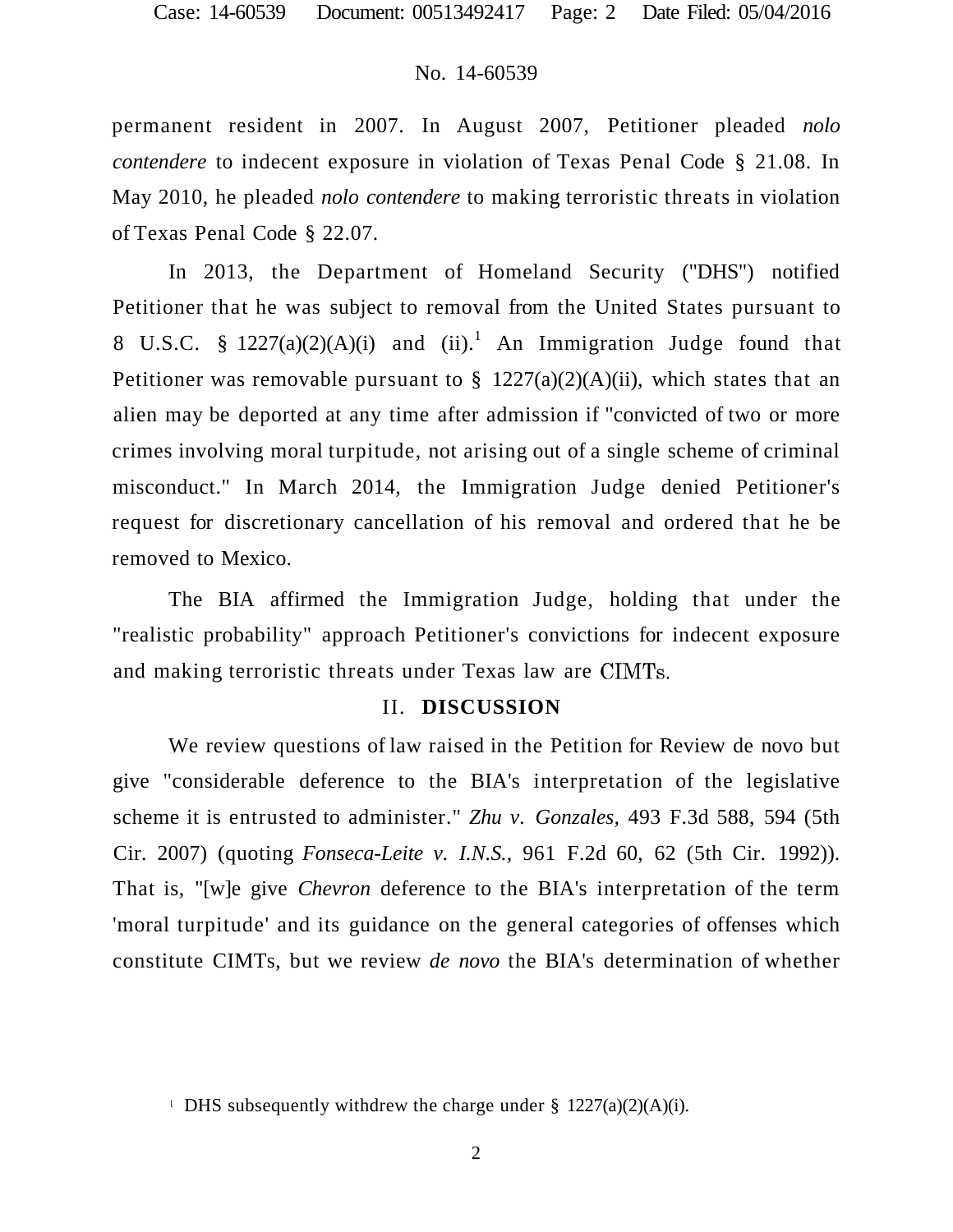permanent resident in 2007. In August 2007, Petitioner pleaded *nolo contendere* to indecent exposure in violation of Texas Penal Code § 21.08. In May 2010, he pleaded *nolo contendere* to making terroristic threats in violation of Texas Penal Code § 22.07.

In 2013, the Department of Homeland Security ("DHS") notified Petitioner that he was subject to removal from the United States pursuant to 8 U.S.C. §  $1227(a)(2)(A)(i)$  and  $(ii).<sup>1</sup>$  An Immigration Judge found that Petitioner was removable pursuant to  $\S$  1227(a)(2)(A)(ii), which states that an alien may be deported at any time after admission if "convicted of two or more crimes involving moral turpitude, not arising out of a single scheme of criminal misconduct." In March 2014, the Immigration Judge denied Petitioner's request for discretionary cancellation of his removal and ordered that he be removed to Mexico.

The BIA affirmed the Immigration Judge, holding that under the "realistic probability" approach Petitioner's convictions for indecent exposure and making terroristic threats under Texas law are CIMTs.

#### II. **DISCUSSION**

We review questions of law raised in the Petition for Review de novo but give "considerable deference to the BIA's interpretation of the legislative scheme it is entrusted to administer." *Zhu v. Gonzales,* 493 F.3d 588, 594 (5th Cir. 2007) (quoting *Fonseca-Leite v. I.N.S.,* 961 F.2d 60, 62 (5th Cir. 1992)). That is, "[w]e give *Chevron* deference to the BIA's interpretation of the term 'moral turpitude' and its guidance on the general categories of offenses which constitute CIMTs, but we review *de novo* the BIA's determination of whether

**DHS** subsequently withdrew the charge under §  $1227(a)(2)(A)(i)$ .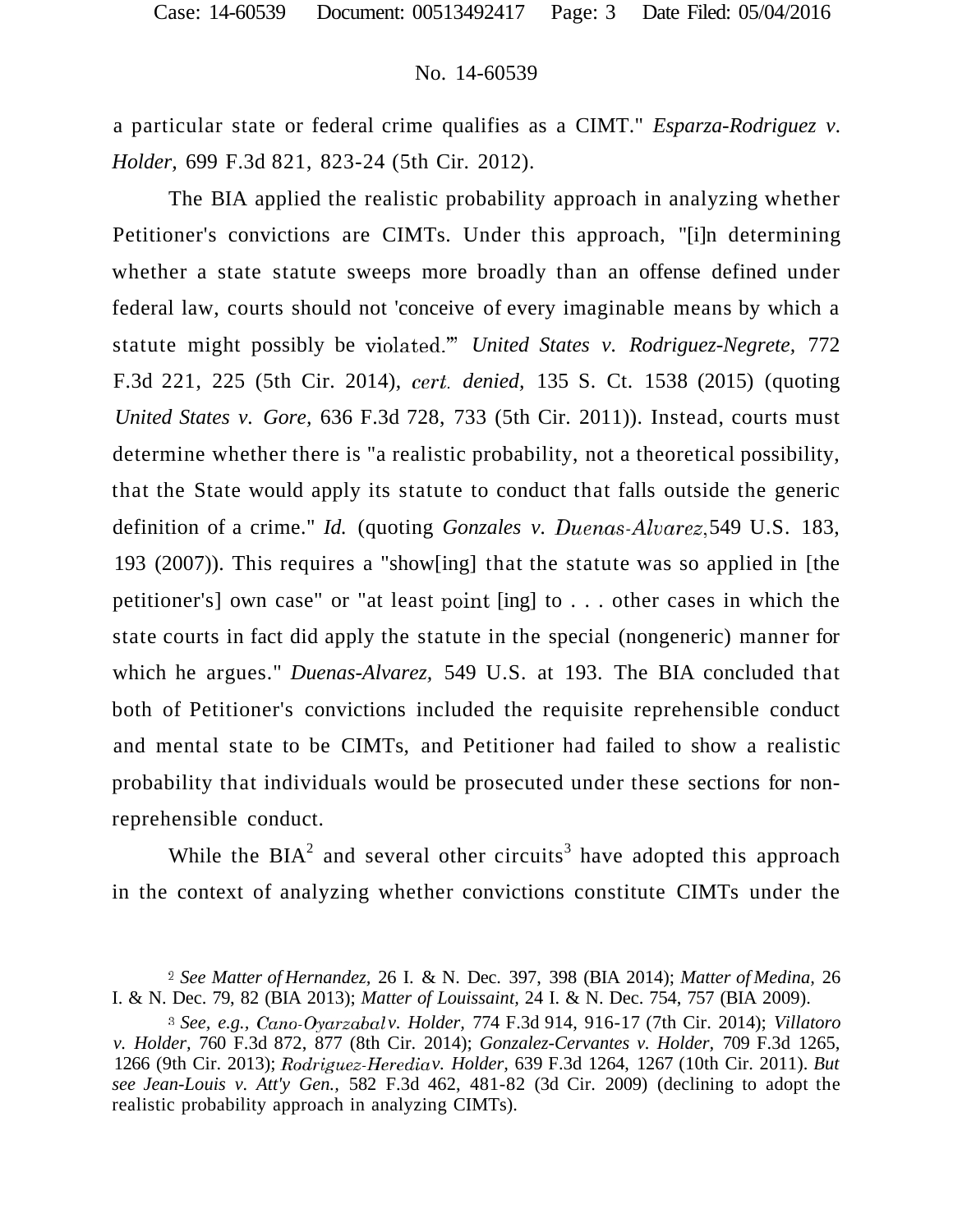a particular state or federal crime qualifies as a CIMT." *Esparza-Rodriguez v. Holder,* 699 F.3d 821, 823-24 (5th Cir. 2012).

The BIA applied the realistic probability approach in analyzing whether Petitioner's convictions are CIMTs. Under this approach, "[i]n determining whether a state statute sweeps more broadly than an offense defined under federal law, courts should not 'conceive of every imaginable means by which a statute might possibly be violated.'" *United States v. Rodriguez-Negrete,* 772 F.3d 221, 225 (5th Cir. 2014), *cert, denied,* 135 S. Ct. 1538 (2015) (quoting *United States v. Gore,* 636 F.3d 728, 733 (5th Cir. 2011)). Instead, courts must determine whether there is "a realistic probability, not a theoretical possibility, that the State would apply its statute to conduct that falls outside the generic definition of a crime." *Id.* (quoting *Gonzales v. Duenas-Alvarez,* 549 U.S. 183, 193 (2007)). This requires a "show[ing] that the statute was so applied in [the petitioner's] own case" or "at least point [ing] to . . . other cases in which the state courts in fact did apply the statute in the special (nongeneric) manner for which he argues." *Duenas-Alvarez,* 549 U.S. at 193. The BIA concluded that both of Petitioner's convictions included the requisite reprehensible conduct and mental state to be CIMTs, and Petitioner had failed to show a realistic probability that individuals would be prosecuted under these sections for nonreprehensible conduct.

While the  $BIA<sup>2</sup>$  and several other circuits<sup>3</sup> have adopted this approach in the context of analyzing whether convictions constitute CIMTs under the

<sup>2</sup>  *See Matter of Hernandez,* 26 I. & N. Dec. 397, 398 (BIA 2014); *Matter of Medina,* 26 I. & N. Dec. 79, 82 (BIA 2013); *Matter of Louissaint,* 24 I. & N. Dec. 754, 757 (BIA 2009).

<sup>3</sup>  *See, e.g., Cano-Oyarzabal v. Holder,* 774 F.3d 914, 916-17 (7th Cir. 2014); *Villatoro v. Holder,* 760 F.3d 872, 877 (8th Cir. 2014); *Gonzalez-Cervantes v. Holder,* 709 F.3d 1265, 1266 (9th Cir. 2013); *Rodriguez-Heredia v. Holder,* 639 F.3d 1264, 1267 (10th Cir. 2011). *But see Jean-Louis v. Att'y Gen.,* 582 F.3d 462, 481-82 (3d Cir. 2009) (declining to adopt the realistic probability approach in analyzing CIMTs).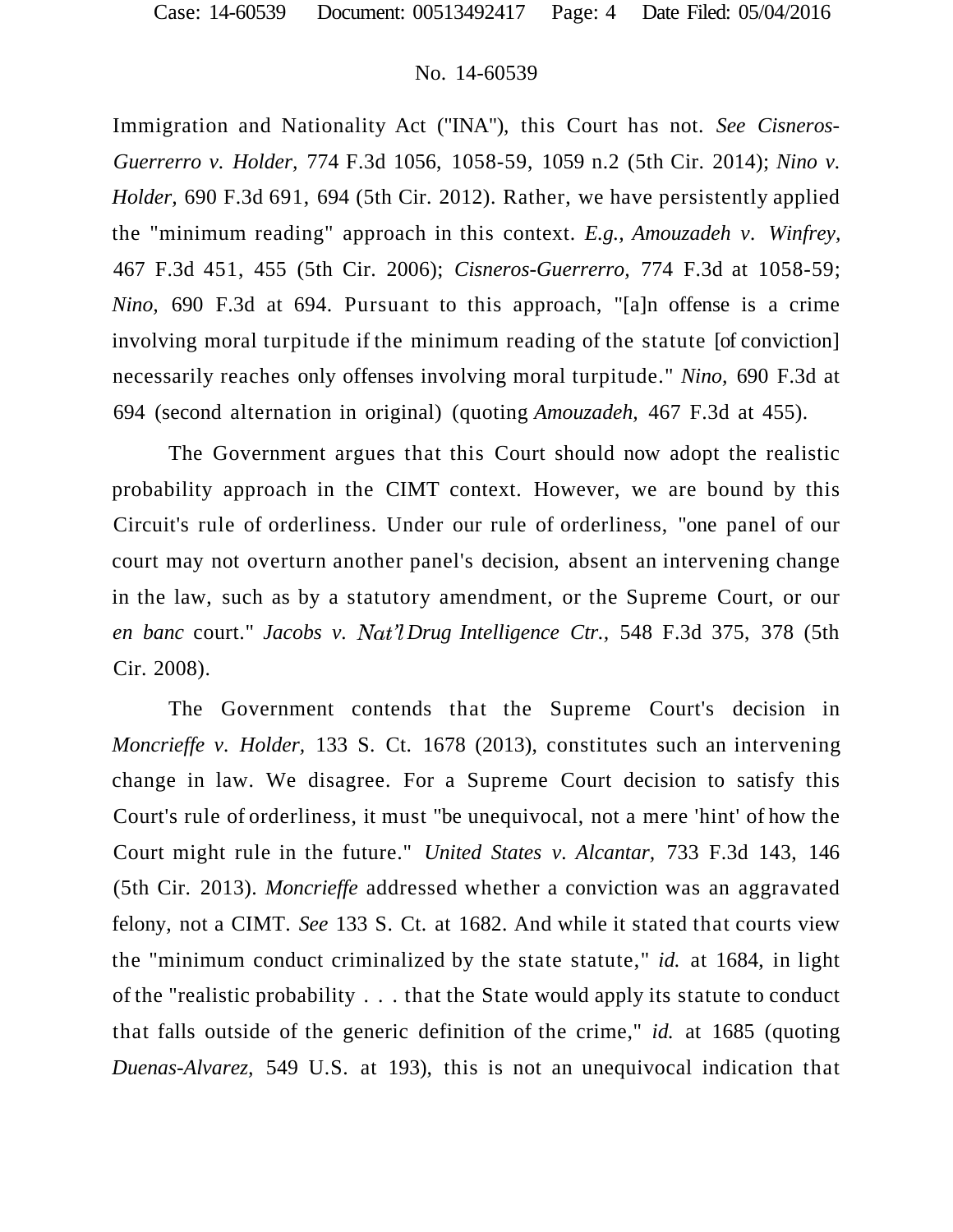Immigration and Nationality Act ("INA"), this Court has not. *See Cisneros-Guerrerro v. Holder,* 774 F.3d 1056, 1058-59, 1059 n.2 (5th Cir. 2014); *Nino v. Holder,* 690 F.3d 691, 694 (5th Cir. 2012). Rather, we have persistently applied the "minimum reading" approach in this context. *E.g., Amouzadeh v. Winfrey,*  467 F.3d 451, 455 (5th Cir. 2006); *Cisneros-Guerrerro,* 774 F.3d at 1058-59; *Nino,* 690 F.3d at 694. Pursuant to this approach, "[a]n offense is a crime involving moral turpitude if the minimum reading of the statute [of conviction] necessarily reaches only offenses involving moral turpitude." *Nino,* 690 F.3d at 694 (second alternation in original) (quoting *Amouzadeh,* 467 F.3d at 455).

The Government argues that this Court should now adopt the realistic probability approach in the CIMT context. However, we are bound by this Circuit's rule of orderliness. Under our rule of orderliness, "one panel of our court may not overturn another panel's decision, absent an intervening change in the law, such as by a statutory amendment, or the Supreme Court, or our *en banc* court." *Jacobs v. Nat'l Drug Intelligence Ctr.,* 548 F.3d 375, 378 (5th Cir. 2008).

The Government contends that the Supreme Court's decision in *Moncrieffe v. Holder,* 133 S. Ct. 1678 (2013), constitutes such an intervening change in law. We disagree. For a Supreme Court decision to satisfy this Court's rule of orderliness, it must "be unequivocal, not a mere 'hint' of how the Court might rule in the future." *United States v. Alcantar,* 733 F.3d 143, 146 (5th Cir. 2013). *Moncrieffe* addressed whether a conviction was an aggravated felony, not a CIMT. *See* 133 S. Ct. at 1682. And while it stated that courts view the "minimum conduct criminalized by the state statute," *id.* at 1684, in light of the "realistic probability . . . that the State would apply its statute to conduct that falls outside of the generic definition of the crime," *id.* at 1685 (quoting *Duenas-Alvarez,* 549 U.S. at 193), this is not an unequivocal indication that